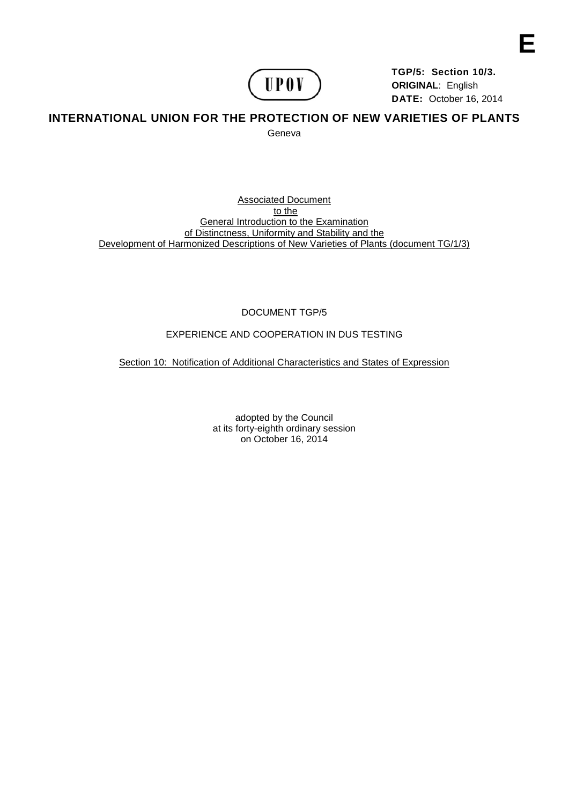

**TGP/5: Section 10/3. ORIGINAL**: English **DATE:** October 16, 2014

# **INTERNATIONAL UNION FOR THE PROTECTION OF NEW VARIETIES OF PLANTS**  Geneva

Associated Document to the General Introduction to the Examination of Distinctness, Uniformity and Stability and the Development of Harmonized Descriptions of New Varieties of Plants (document TG/1/3)

DOCUMENT TGP/5

# EXPERIENCE AND COOPERATION IN DUS TESTING

Section 10: Notification of Additional Characteristics and States of Expression

adopted by the Council at its forty-eighth ordinary session on October 16, 2014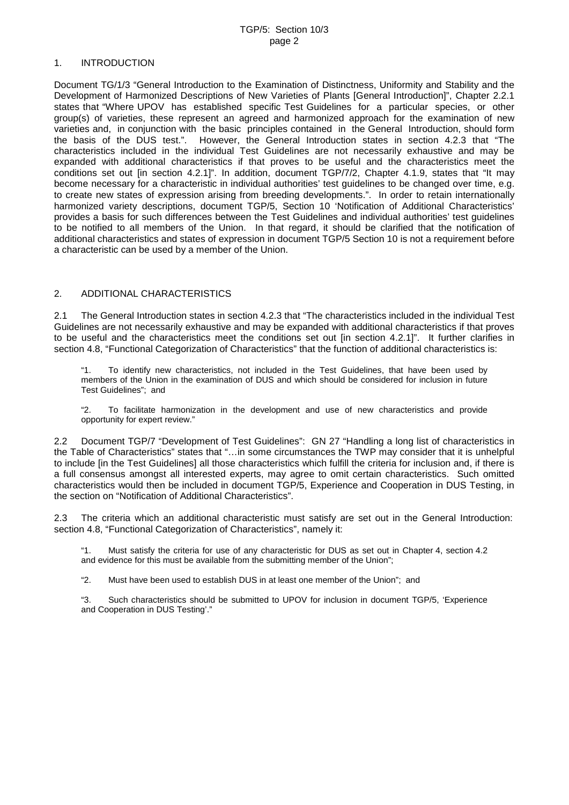### 1. INTRODUCTION

Document TG/1/3 "General Introduction to the Examination of Distinctness, Uniformity and Stability and the Development of Harmonized Descriptions of New Varieties of Plants [General Introduction]", Chapter 2.2.1 states that "Where UPOV has established specific Test Guidelines for a particular species, or other group(s) of varieties, these represent an agreed and harmonized approach for the examination of new varieties and, in conjunction with the basic principles contained in the General Introduction, should form the basis of the DUS test.". However, the General Introduction states in section 4.2.3 that "The characteristics included in the individual Test Guidelines are not necessarily exhaustive and may be expanded with additional characteristics if that proves to be useful and the characteristics meet the conditions set out [in section 4.2.1]". In addition, document TGP/7/2, Chapter 4.1.9, states that "It may become necessary for a characteristic in individual authorities' test guidelines to be changed over time, e.g. to create new states of expression arising from breeding developments.". In order to retain internationally harmonized variety descriptions, document TGP/5, Section 10 'Notification of Additional Characteristics' provides a basis for such differences between the Test Guidelines and individual authorities' test guidelines to be notified to all members of the Union. In that regard, it should be clarified that the notification of additional characteristics and states of expression in document TGP/5 Section 10 is not a requirement before a characteristic can be used by a member of the Union.

## 2. ADDITIONAL CHARACTERISTICS

2.1 The General Introduction states in section 4.2.3 that "The characteristics included in the individual Test Guidelines are not necessarily exhaustive and may be expanded with additional characteristics if that proves to be useful and the characteristics meet the conditions set out [in section 4.2.1]". It further clarifies in section 4.8, "Functional Categorization of Characteristics" that the function of additional characteristics is:

"1. To identify new characteristics, not included in the Test Guidelines, that have been used by members of the Union in the examination of DUS and which should be considered for inclusion in future Test Guidelines"; and

"2. To facilitate harmonization in the development and use of new characteristics and provide opportunity for expert review."

2.2 Document TGP/7 "Development of Test Guidelines": GN 27 "Handling a long list of characteristics in the Table of Characteristics" states that "…in some circumstances the TWP may consider that it is unhelpful to include [in the Test Guidelines] all those characteristics which fulfill the criteria for inclusion and, if there is a full consensus amongst all interested experts, may agree to omit certain characteristics. Such omitted characteristics would then be included in document TGP/5, Experience and Cooperation in DUS Testing, in the section on "Notification of Additional Characteristics".

2.3 The criteria which an additional characteristic must satisfy are set out in the General Introduction: section 4.8, "Functional Categorization of Characteristics", namely it:

"1. Must satisfy the criteria for use of any characteristic for DUS as set out in Chapter 4, section 4.2 and evidence for this must be available from the submitting member of the Union";

"2. Must have been used to establish DUS in at least one member of the Union"; and

"3. Such characteristics should be submitted to UPOV for inclusion in document TGP/5, 'Experience and Cooperation in DUS Testing'."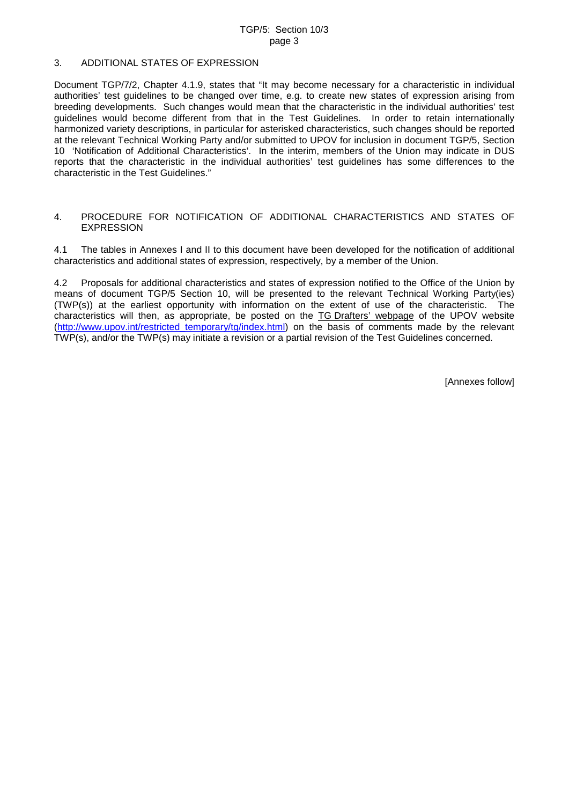#### 3. ADDITIONAL STATES OF EXPRESSION

Document TGP/7/2, Chapter 4.1.9, states that "It may become necessary for a characteristic in individual authorities' test guidelines to be changed over time, e.g. to create new states of expression arising from breeding developments. Such changes would mean that the characteristic in the individual authorities' test guidelines would become different from that in the Test Guidelines. In order to retain internationally harmonized variety descriptions, in particular for asterisked characteristics, such changes should be reported at the relevant Technical Working Party and/or submitted to UPOV for inclusion in document TGP/5, Section 10 'Notification of Additional Characteristics'. In the interim, members of the Union may indicate in DUS reports that the characteristic in the individual authorities' test guidelines has some differences to the characteristic in the Test Guidelines."

#### 4. PROCEDURE FOR NOTIFICATION OF ADDITIONAL CHARACTERISTICS AND STATES OF EXPRESSION

4.1 The tables in Annexes I and II to this document have been developed for the notification of additional characteristics and additional states of expression, respectively, by a member of the Union.

4.2 Proposals for additional characteristics and states of expression notified to the Office of the Union by means of document TGP/5 Section 10, will be presented to the relevant Technical Working Party(ies) (TWP(s)) at the earliest opportunity with information on the extent of use of the characteristic. The characteristics will then, as appropriate, be posted on the TG Drafters' webpage of the UPOV website [\(http://www.upov.int/restricted\\_temporary/tg/index.html\)](http://www.upov.int/restricted_temporary/tg/index.html) on the basis of comments made by the relevant TWP(s), and/or the TWP(s) may initiate a revision or a partial revision of the Test Guidelines concerned.

[Annexes follow]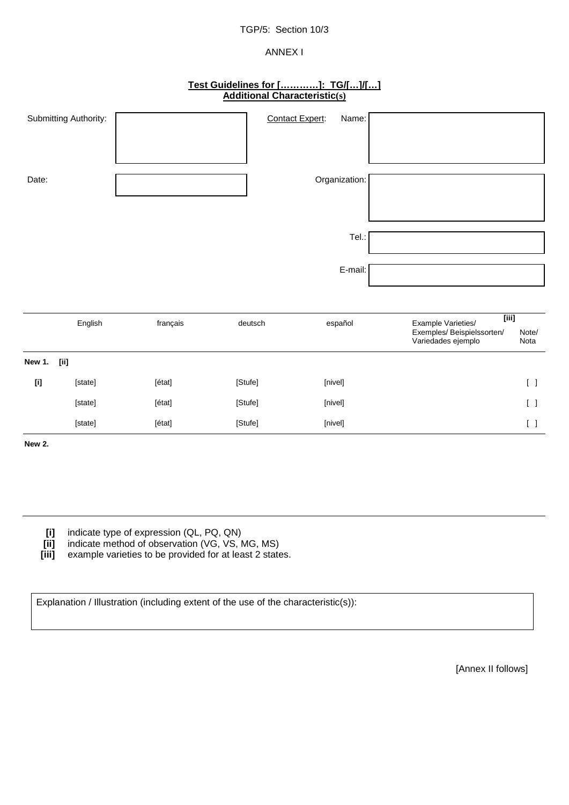# TGP/5: Section 10/3

# ANNEX I

# **Test Guidelines for […………]: TG/[…]/[…] Additional Characteristic(s)**

| Submitting Authority: | <b>Contact Expert:</b> | Name:         |  |
|-----------------------|------------------------|---------------|--|
|                       |                        |               |  |
|                       |                        |               |  |
|                       |                        |               |  |
|                       |                        |               |  |
|                       |                        |               |  |
| Date:                 |                        | Organization: |  |
|                       |                        |               |  |
|                       |                        |               |  |
|                       |                        |               |  |
|                       |                        |               |  |
|                       |                        |               |  |
|                       |                        | Tel.:         |  |
|                       |                        |               |  |
|                       |                        |               |  |
|                       |                        | E-mail:       |  |
|                       |                        |               |  |

|                        |                                                                                                                                                                                                                                                                                               | English | français | deutsch | español | $\overline{[iii]}$<br>Example Varieties/<br>Exemples/ Beispielssorten/<br>Variedades ejemplo | Note/<br>Nota                         |
|------------------------|-----------------------------------------------------------------------------------------------------------------------------------------------------------------------------------------------------------------------------------------------------------------------------------------------|---------|----------|---------|---------|----------------------------------------------------------------------------------------------|---------------------------------------|
| New 1.                 | $[iii] % \begin{center} % \includegraphics[width=\linewidth]{imagesSupplemental_3.png} % \end{center} % \caption { % Our method is used for the method. % The method is used in the image. % The method is used in the image. % The method is used in the image. % } % \label{fig:example} %$ |         |          |         |         |                                                                                              |                                       |
| $[{\rm i}]\phantom{.}$ |                                                                                                                                                                                                                                                                                               | [state] | [état]   | [Stufe] | [nivel] |                                                                                              | $\begin{bmatrix} 1 \end{bmatrix}$     |
|                        |                                                                                                                                                                                                                                                                                               | [state] | [état]   | [Stufe] | [nivel] |                                                                                              | $\begin{bmatrix} 1 \end{bmatrix}$     |
|                        |                                                                                                                                                                                                                                                                                               | [state] | [état]   | [Stufe] | [nivel] |                                                                                              | $\begin{bmatrix} \\ \\ \end{bmatrix}$ |
| New 2.                 |                                                                                                                                                                                                                                                                                               |         |          |         |         |                                                                                              |                                       |
|                        |                                                                                                                                                                                                                                                                                               |         |          |         |         |                                                                                              |                                       |
|                        |                                                                                                                                                                                                                                                                                               |         |          |         |         |                                                                                              |                                       |
|                        |                                                                                                                                                                                                                                                                                               |         |          |         |         |                                                                                              |                                       |

**[i]** indicate type of expression (QL, PQ, QN)<br>**[ii]** indicate method of observation (VG, VS, I

**[ii]** indicate method of observation (VG, VS, MG, MS)<br>**[iii]** example varieties to be provided for at least 2 state

example varieties to be provided for at least 2 states.

Explanation / Illustration (including extent of the use of the characteristic(s)):

[Annex II follows]